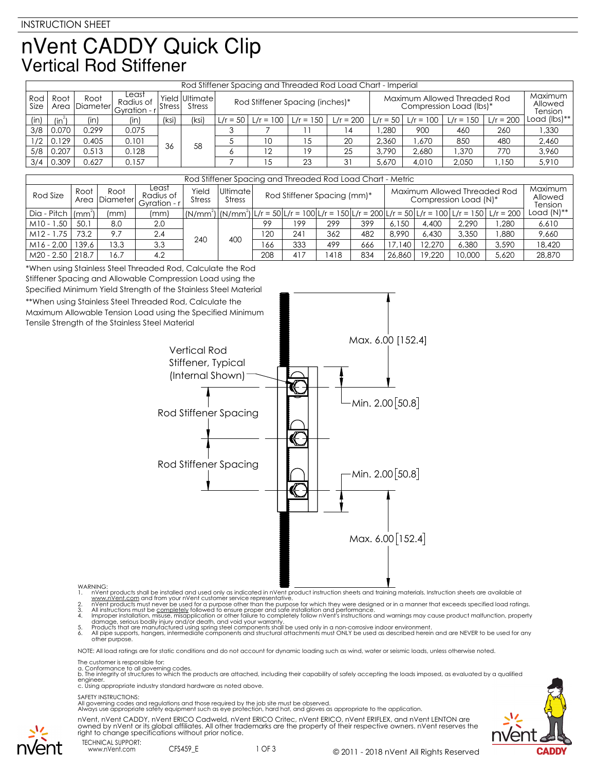## nVent CADDY Quick Clip **Vertical Rod Stiffener**

|             | Rod Stiffener Spacing and Threaded Rod Load Chart - Imperial |                       |                                    |               |                           |                                 |                                |             |                          |       |                                                         |             |             |              |
|-------------|--------------------------------------------------------------|-----------------------|------------------------------------|---------------|---------------------------|---------------------------------|--------------------------------|-------------|--------------------------|-------|---------------------------------------------------------|-------------|-------------|--------------|
| Rod<br>Size | Root                                                         | Root<br>Area Diameter | Least<br>Radius of<br>Gyration - r | <b>Stress</b> | Yield Ultimatel<br>Stress | Rod Stiffener Spacing (inches)* |                                |             |                          |       | Maximum Allowed Threaded Rod<br>Compression Load (lbs)* |             |             |              |
| (in)        | $\mathsf{lin}^2$                                             | (in)                  | (in)                               | (ksi)         | (ksi)                     |                                 | $L/r = 50$ $L/r = 100$ $\vert$ | $L/r = 150$ | $L/r = 200$ $ L/r = 50 $ |       | $L/r = 100$                                             | $L/r = 150$ | $L/r = 200$ | Load (lbs)** |
| 3/8         | 0.070                                                        | 0.299                 | 0.075                              |               |                           |                                 |                                |             | ا 4                      | .280  | 900                                                     | 460         | 260         | ,330         |
| 1/2         | 0.129                                                        | 0.405                 | 0.101                              | 58<br>36      |                           |                                 | 10                             | 15          | 20                       | 2.360 | .670                                                    | 850         | 480         | 2,460        |
| 5/8         | 0.207                                                        | 0.513                 | 0.128                              |               |                           | 12 <sup>2</sup>                 | 19                             | 25          | 3.790                    | 2.680 | .370                                                    | 770         | 3.960       |              |
| 3/4         | 0.309                                                        | 0.627                 | 0.157                              |               |                           |                                 | ا 5                            | 23          | 31                       | 5.670 | 4.010                                                   | 2.050       | 1.150       | 5,910        |

| Rod Stiffener Spacing and Threaded Rod Load Chart - Metric |       |                       |                                    |                        |               |                                                                                                  |     |      |     |        |        |                                        |                                                                                                                                                                                   |               |
|------------------------------------------------------------|-------|-----------------------|------------------------------------|------------------------|---------------|--------------------------------------------------------------------------------------------------|-----|------|-----|--------|--------|----------------------------------------|-----------------------------------------------------------------------------------------------------------------------------------------------------------------------------------|---------------|
| Rod Size                                                   | Root  | Root<br>Area Diameter | Least<br>Radius of<br>Gyration - r | Yield<br><b>Stress</b> | <b>Stress</b> | Maximum Allowed Threaded Rod<br>Ultimate<br>Rod Stiffener Spacing (mm)*<br>Compression Load (N)* |     |      |     |        |        | Maximum  <br>Allowed<br><b>Tension</b> |                                                                                                                                                                                   |               |
| Dia - Pitch $\vert$ (mm <sup>2</sup> )                     |       | (mm)                  | (mm)                               |                        |               |                                                                                                  |     |      |     |        |        |                                        | $\lfloor (N/mm^2) \rfloor (N/mm^2) \lfloor L/r = 50 \rfloor L/r = 100 \lfloor L/r = 150 \rfloor L/r = 200 \lfloor L/r = 50 \rfloor L/r = 100 \lfloor L/r = 150 \rfloor L/r = 200$ | Load $(N)$ ** |
| $M10 - 1.50$                                               | 50.1  | 8.0                   | 2.0                                |                        |               | 99                                                                                               | 199 | 299  | 399 | 6.150  | 4,400  | 2.290                                  | .280                                                                                                                                                                              | 6,610         |
| $M12 - 1.75$                                               | 73.2  | 9.7                   | 2.4                                | 240                    | 400           | 120                                                                                              | 241 | 362  | 482 | 8.990  | 6.430  | 3,350                                  | .880                                                                                                                                                                              | 9.660         |
| $M16 - 2.00$                                               | 139.6 | 13.3                  | 3.3                                |                        |               | 166                                                                                              | 333 | 499  | 666 | 17,140 | 12,270 | 6.380                                  | 3.590                                                                                                                                                                             | 18,420        |
| M20 - 2.50                                                 | 218.7 | 16.7                  | 4.2                                |                        |               | 208                                                                                              | 417 | 1418 | 834 | 26,860 | 19,220 | 10,000                                 | 5.620                                                                                                                                                                             | 28,870        |

\*When using Stainless Steel Threaded Rod, Calculate the Rod Stiffener Spacing and Allowable Compression Load using the Specified Minimum Yield Strength of the Stainless Steel Material \*\*When using Stainless Steel Threaded Rod, Calculate the Maximum Allowable Tension Load using the Specified Minimum

Tensile Strength of the Stainless Steel Material



WARNING:<br>
1. Note that products shall be installed and used only as indicated in nvent product instruction sheets and training materials. Instruction sheets are available at<br>
1. www.nvent.com and from your nvent customer s

NOTE: All load ratings are for static conditions and do not account for dynamic loading such as wind, water or seismic loads, unless otherwise noted.

The customer is responsible for:

a. Conformance to all governing codes.<br>b. The integrity of structures to which the products are attached, including their capability of safely accepting the loads imposed, as evaluated by a qualified

engineer. c. Using appropriate industry standard hardware as noted above.

SAFETY INSTRUCTIONS:<br>All governing codes and regulations and those required by the job site must be observed.<br>Always use appropriate safety equipment such as eye protection, hard hat, and gloves as appropriate to the appli

nVent, nVent CADDY, nVent ERICO Cadweld, nVent ERICO Critec, nVent ERICO, nVent ERIFLEX, and nVent LENTON are owned by nVent or its global affiliates. All other trademarks are the property of their respective owners. nVent reserves the right to change specifications without prior notice.





TECHNICAL SUPPORT: www.nVent.com CFS459\_E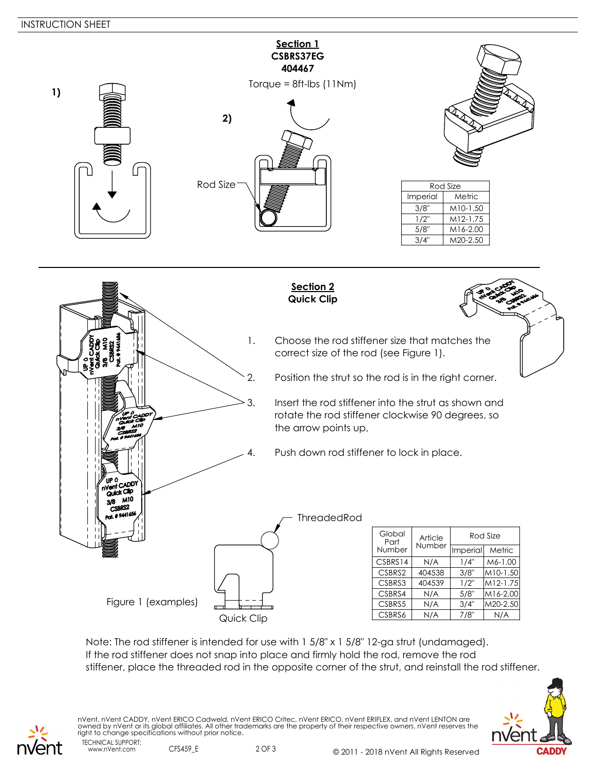



Note: The rod stiffener is intended for use with 1 5/8" x 1 5/8" 12-ga strut (undamaged). If the rod stiffener does not snap into place and firmly hold the rod, remove the rod stiffener, place the threaded rod in the opposite corner of the strut, and reinstall the rod stiffener.



TECHNICAL SUPPORT: nVent, nVent CADDY, nVent ERICO Cadweld, nVent ERICO Critec, nVent ERICO, nVent ERIFLEX, and nVent LENTON are owned by nVent or its global affiliates. All other trademarks are the property of their respective owners. nVent reserves the right to change specifications without prior notice.